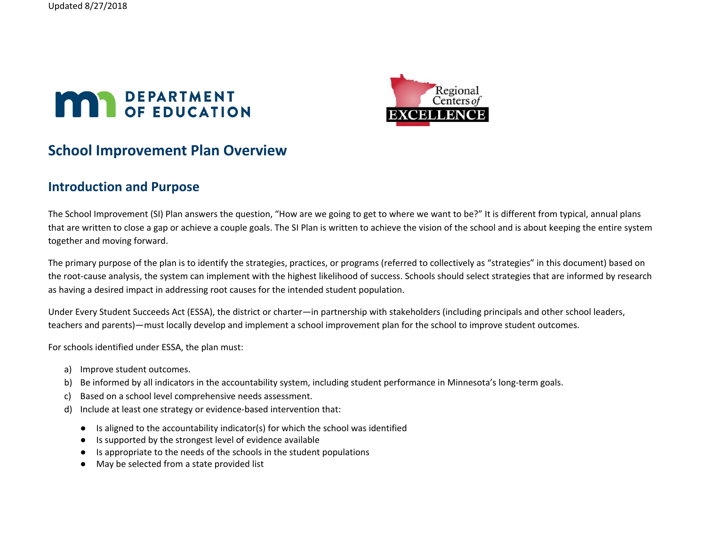



# **School Improvement Plan Overview**

## **Introduction and Purpose**

The School Improvement (SI) Plan answers the question, "How are we going to get to where we want to be?" It is different from typical, annual plans that are written to close a gap or achieve a couple goals. The SI Plan is written to achieve the vision of the school and is about keeping the entire system together and moving forward.

The primary purpose of the plan is to identify the strategies, practices, or programs (referred to collectively as "strategies" in this document) based on the root-cause analysis, the system can implement with the highest likelihood of success. Schools should select strategies that are informed by research as having a desired impact in addressing root causes for the intended student population.

Under Every Student Succeeds Act (ESSA), the district or charter—in partnership with stakeholders (including principals and other school leaders, teachers and parents)—must locally develop and implement a school improvement plan for the school to improve student outcomes.

For schools identified under ESSA, the plan must:

- a) Improve student outcomes.
- b) Be informed by all indicators in the accountability system, including student performance in Minnesota's long-term goals.
- c) Based on a school level comprehensive needs assessment.
- d) Include at least one strategy or evidence-based intervention that:
	- Is aligned to the accountability indicator(s) for which the school was identified
	- Is supported by the strongest level of evidence available
	- Is appropriate to the needs of the schools in the student populations
	- May be selected from a state provided list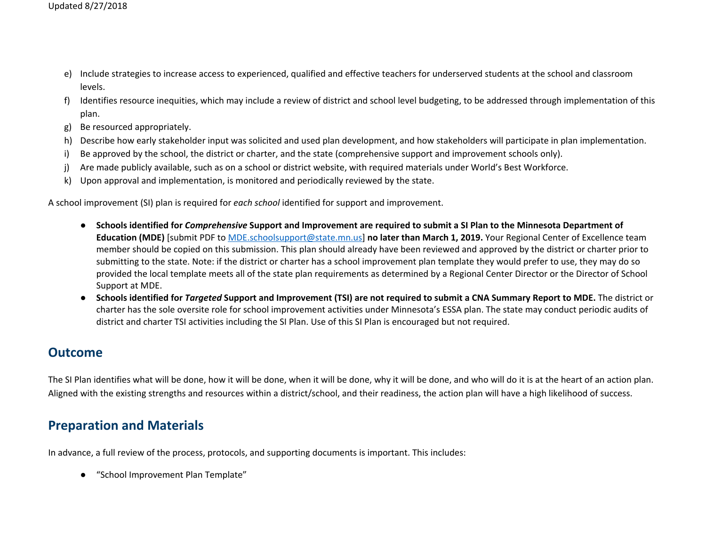- e) Include strategies to increase access to experienced, qualified and effective teachers for underserved students at the school and classroom levels.
- f) Identifies resource inequities, which may include a review of district and school level budgeting, to be addressed through implementation of this plan.
- g) Be resourced appropriately.
- h) Describe how early stakeholder input was solicited and used plan development, and how stakeholders will participate in plan implementation.
- i) Be approved by the school, the district or charter, and the state (comprehensive support and improvement schools only).
- j) Are made publicly available, such as on a school or district website, with required materials under World's Best Workforce.
- k) Upon approval and implementation, is monitored and periodically reviewed by the state.

A school improvement (SI) plan is required for *each school* identified for support and improvement.

- Schools identified for Comprehensive Support and Improvement are required to submit a SI Plan to the Minnesota Department of **Education (MDE)** [submit PDF to [MDE.schoolsupport@state.mn.us](mailto:MDE.schoolsupport@state.mn.us)] **no later than March 1, 2019.** Your Regional Center of Excellence team member should be copied on this submission. This plan should already have been reviewed and approved by the district or charter prior to submitting to the state. Note: if the district or charter has a school improvement plan template they would prefer to use, they may do so provided the local template meets all of the state plan requirements as determined by a Regional Center Director or the Director of School Support at MDE.
- Schools identified for Targeted Support and Improvement (TSI) are not required to submit a CNA Summary Report to MDE. The district or charter has the sole oversite role for school improvement activities under Minnesota's ESSA plan. The state may conduct periodic audits of district and charter TSI activities including the SI Plan. Use of this SI Plan is encouraged but not required.

## **Outcome**

The SI Plan identifies what will be done, how it will be done, when it will be done, why it will be done, and who will do it is at the heart of an action plan. Aligned with the existing strengths and resources within a district/school, and their readiness, the action plan will have a high likelihood of success.

## **Preparation and Materials**

In advance, a full review of the process, protocols, and supporting documents is important. This includes:

"School Improvement Plan Template"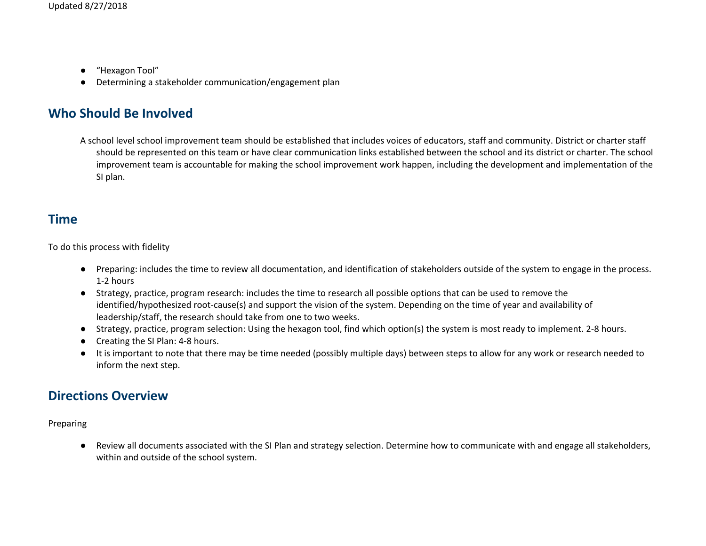- "Hexagon Tool"
- Determining a stakeholder communication/engagement plan

# **Who Should Be Involved**

A school level school improvement team should be established that includes voices of educators, staff and community. District or charter staff should be represented on this team or have clear communication links established between the school and its district or charter. The school improvement team is accountable for making the school improvement work happen, including the development and implementation of the SI plan.

## **Time**

To do this process with fidelity

- Preparing: includes the time to review all documentation, and identification of stakeholders outside of the system to engage in the process. 1-2 hours
- Strategy, practice, program research: includes the time to research all possible options that can be used to remove the identified/hypothesized root-cause(s) and support the vision of the system. Depending on the time of year and availability of leadership/staff, the research should take from one to two weeks.
- Strategy, practice, program selection: Using the hexagon tool, find which option(s) the system is most ready to implement. 2-8 hours.
- Creating the SI Plan: 4-8 hours.
- It is important to note that there may be time needed (possibly multiple days) between steps to allow for any work or research needed to inform the next step.

# **Directions Overview**

Preparing

● Review all documents associated with the SI Plan and strategy selection. Determine how to communicate with and engage all stakeholders, within and outside of the school system.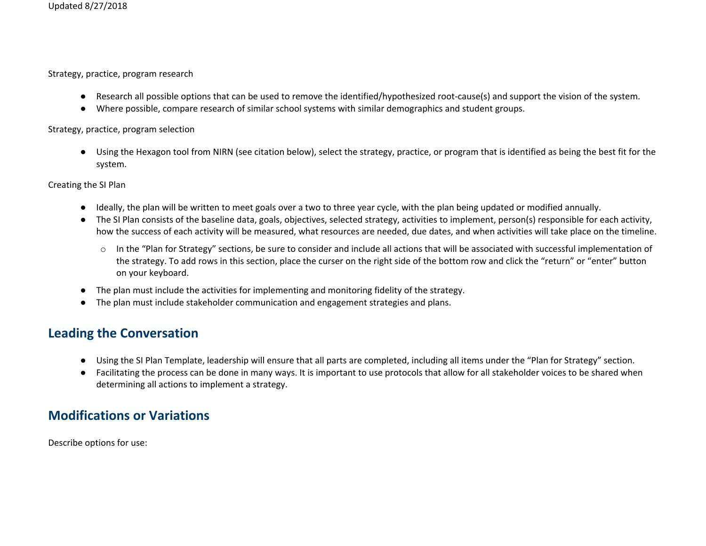Strategy, practice, program research

- Research all possible options that can be used to remove the identified/hypothesized root-cause(s) and support the vision of the system.
- Where possible, compare research of similar school systems with similar demographics and student groups.

#### Strategy, practice, program selection

● Using the Hexagon tool from NIRN (see citation below), select the strategy, practice, or program that is identified as being the best fit for the system.

Creating the SI Plan

- Ideally, the plan will be written to meet goals over a two to three year cycle, with the plan being updated or modified annually.
- The SI Plan consists of the baseline data, goals, objectives, selected strategy, activities to implement, person(s) responsible for each activity, how the success of each activity will be measured, what resources are needed, due dates, and when activities will take place on the timeline.
	- o In the "Plan for Strategy" sections, be sure to consider and include all actions that will be associated with successful implementation of the strategy. To add rows in this section, place the curser on the right side of the bottom row and click the "return" or "enter" button on your keyboard.
- The plan must include the activities for implementing and monitoring fidelity of the strategy.
- The plan must include stakeholder communication and engagement strategies and plans.

# **Leading the Conversation**

- Using the SI Plan Template, leadership will ensure that all parts are completed, including all items under the "Plan for Strategy" section.
- Facilitating the process can be done in many ways. It is important to use protocols that allow for all stakeholder voices to be shared when determining all actions to implement a strategy.

# **Modifications or Variations**

Describe options for use: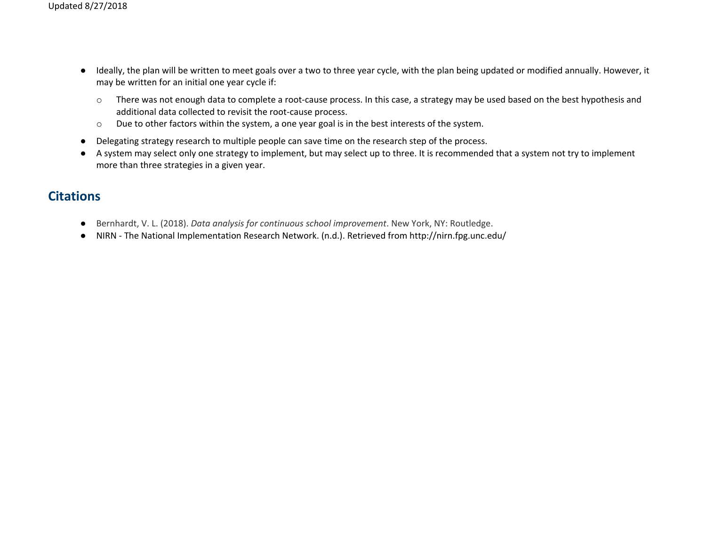- Ideally, the plan will be written to meet goals over a two to three year cycle, with the plan being updated or modified annually. However, it may be written for an initial one year cycle if:
	- o There was not enough data to complete a root-cause process. In this case, a strategy may be used based on the best hypothesis and additional data collected to revisit the root-cause process.
	- o Due to other factors within the system, a one year goal is in the best interests of the system.
- Delegating strategy research to multiple people can save time on the research step of the process.
- A system may select only one strategy to implement, but may select up to three. It is recommended that a system not try to implement more than three strategies in a given year.

## **Citations**

- Bernhardt, V. L. (2018). *Data analysis for continuous school improvement*. New York, NY: Routledge.
- NIRN The National Implementation Research Network. (n.d.). Retrieved from http://nirn.fpg.unc.edu/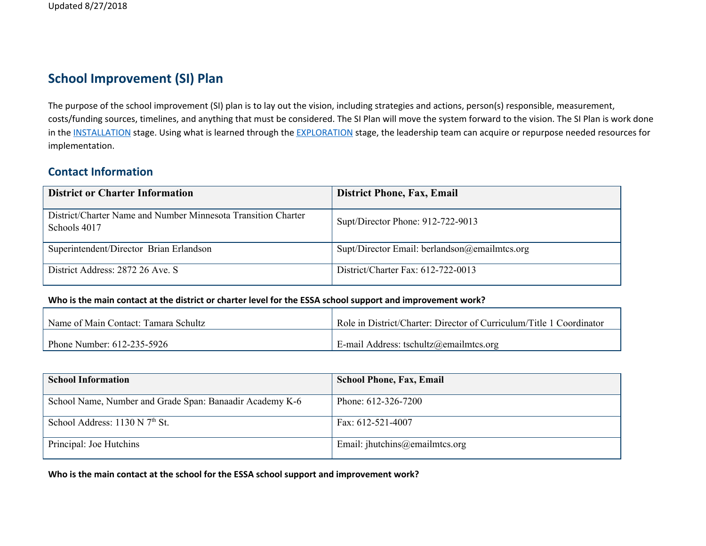# **School Improvement (SI) Plan**

The purpose of the school improvement (SI) plan is to lay out the vision, including strategies and actions, person(s) responsible, measurement, costs/funding sources, timelines, and anything that must be considered. The SI Plan will move the system forward to the vision. The SI Plan is work done in the [INSTALLATION](http://nirn.fpg.unc.edu/learn-implementation/implementation-stages/installation) stage. Using what is learned through the [EXPLORATION](http://nirn.fpg.unc.edu/learn-implementation/implementation-stages/exploration) stage, the leadership team can acquire or repurpose needed resources for implementation.

### **Contact Information**

| <b>District or Charter Information</b>                                        | <b>District Phone, Fax, Email</b>             |
|-------------------------------------------------------------------------------|-----------------------------------------------|
| District/Charter Name and Number Minnesota Transition Charter<br>Schools 4017 | Supt/Director Phone: 912-722-9013             |
| Superintendent/Director Brian Erlandson                                       | Supt/Director Email: berlandson@emailmtcs.org |
| District Address: 2872 26 Ave. S                                              | District/Charter Fax: $612-722-0013$          |

#### Who is the main contact at the district or charter level for the ESSA school support and improvement work?

| Name of Main Contact: Tamara Schultz | Role in District/Charter: Director of Curriculum/Title 1 Coordinator |
|--------------------------------------|----------------------------------------------------------------------|
| Phone Number: 612-235-5926           | E-mail Address: tschultz@emailmtcs.org                               |

| <b>School Information</b>                                | <b>School Phone, Fax, Email</b>   |
|----------------------------------------------------------|-----------------------------------|
| School Name, Number and Grade Span: Banaadir Academy K-6 | Phone: $612-326-7200$             |
| School Address: 1130 N 7 <sup>th</sup> St.               | Fax: $612 - 521 - 4007$           |
| Principal: Joe Hutchins                                  | Email: $j$ hutchins@emailmtcs.org |

**Who is the main contact at the school for the ESSA school support and improvement work?**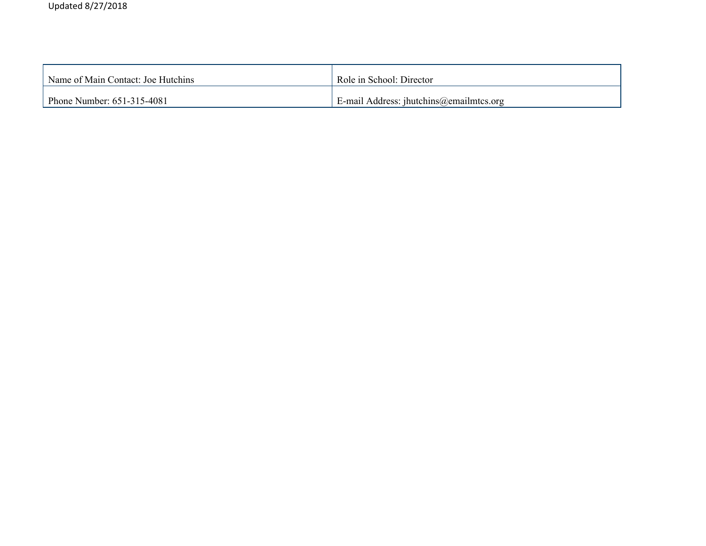| Name of Main Contact: Joe Hutchins | Role in School: Director                |
|------------------------------------|-----------------------------------------|
| Phone Number: 651-315-4081         | E-mail Address: jhutchins@emailmtcs.org |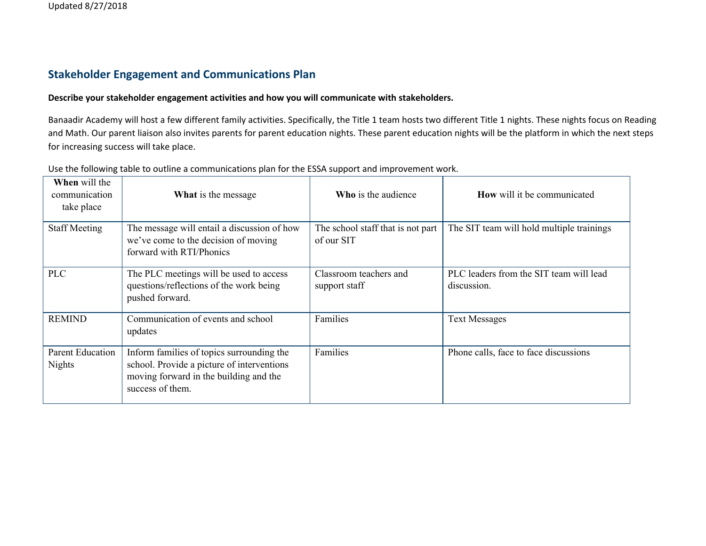#### **Stakeholder Engagement and Communications Plan**

#### **Describe your stakeholder engagement activities and how you will communicate with stakeholders.**

Banaadir Academy will host a few different family activities. Specifically, the Title 1 team hosts two different Title 1 nights. These nights focus on Reading and Math. Our parent liaison also invites parents for parent education nights. These parent education nights will be the platform in which the next steps for increasing success will take place.

| <b>When</b> will the<br>communication<br>take place | What is the message                                                                                                                                   | <b>Who</b> is the audience                      | <b>How</b> will it be communicated                     |
|-----------------------------------------------------|-------------------------------------------------------------------------------------------------------------------------------------------------------|-------------------------------------------------|--------------------------------------------------------|
| <b>Staff Meeting</b>                                | The message will entail a discussion of how<br>we've come to the decision of moving<br>forward with RTI/Phonics                                       | The school staff that is not part<br>of our SIT | The SIT team will hold multiple trainings              |
| <b>PLC</b>                                          | The PLC meetings will be used to access<br>questions/reflections of the work being<br>pushed forward.                                                 | Classroom teachers and<br>support staff         | PLC leaders from the SIT team will lead<br>discussion. |
| <b>REMIND</b>                                       | Communication of events and school<br>updates                                                                                                         | Families                                        | <b>Text Messages</b>                                   |
| <b>Parent Education</b><br><b>Nights</b>            | Inform families of topics surrounding the<br>school. Provide a picture of interventions<br>moving forward in the building and the<br>success of them. | Families                                        | Phone calls, face to face discussions                  |

Use the following table to outline a communications plan for the ESSA support and improvement work.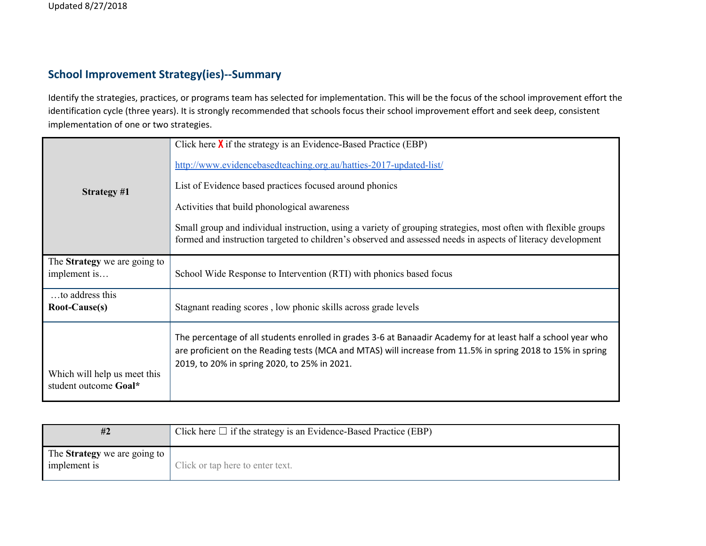### **School Improvement Strategy(ies)--Summary**

Identify the strategies, practices, or programs team has selected for implementation. This will be the focus of the school improvement effort the identification cycle (three years). It is strongly recommended that schools focus their school improvement effort and seek deep, consistent implementation of one or two strategies.

| <b>Strategy #1</b>                                    | Click here $\chi$ if the strategy is an Evidence-Based Practice (EBP)<br>http://www.evidencebasedteaching.org.au/hatties-2017-updated-list/<br>List of Evidence based practices focused around phonics<br>Activities that build phonological awareness<br>Small group and individual instruction, using a variety of grouping strategies, most often with flexible groups<br>formed and instruction targeted to children's observed and assessed needs in aspects of literacy development |
|-------------------------------------------------------|-------------------------------------------------------------------------------------------------------------------------------------------------------------------------------------------------------------------------------------------------------------------------------------------------------------------------------------------------------------------------------------------------------------------------------------------------------------------------------------------|
| The <b>Strategy</b> we are going to<br>implement is   | School Wide Response to Intervention (RTI) with phonics based focus                                                                                                                                                                                                                                                                                                                                                                                                                       |
| to address this<br>Root-Cause(s)                      | Stagnant reading scores, low phonic skills across grade levels                                                                                                                                                                                                                                                                                                                                                                                                                            |
| Which will help us meet this<br>student outcome Goal* | The percentage of all students enrolled in grades 3-6 at Banaadir Academy for at least half a school year who<br>are proficient on the Reading tests (MCA and MTAS) will increase from 11.5% in spring 2018 to 15% in spring<br>2019, to 20% in spring 2020, to 25% in 2021.                                                                                                                                                                                                              |

| #2                                                  | Click here $\Box$ if the strategy is an Evidence-Based Practice (EBP) |
|-----------------------------------------------------|-----------------------------------------------------------------------|
| The <b>Strategy</b> we are going to<br>implement is | Click or tap here to enter text.                                      |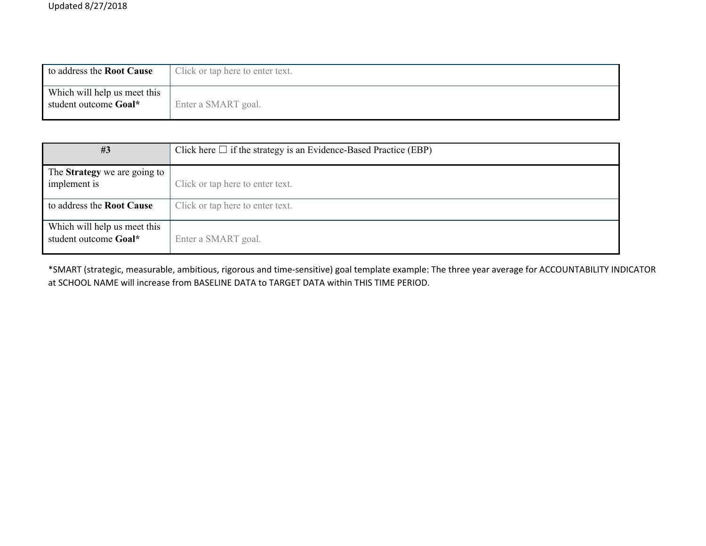| to address the Root Cause                             | Click or tap here to enter text. |
|-------------------------------------------------------|----------------------------------|
| Which will help us meet this<br>student outcome Goal* | Enter a SMART goal.              |

| #3                                                    | Click here $\Box$ if the strategy is an Evidence-Based Practice (EBP) |
|-------------------------------------------------------|-----------------------------------------------------------------------|
| The <b>Strategy</b> we are going to<br>implement is   | Click or tap here to enter text.                                      |
| to address the <b>Root Cause</b>                      | Click or tap here to enter text.                                      |
| Which will help us meet this<br>student outcome Goal* | Enter a SMART goal.                                                   |

\*SMART (strategic, measurable, ambitious, rigorous and time-sensitive) goal template example: The three year average for ACCOUNTABILITY INDICATOR at SCHOOL NAME will increase from BASELINE DATA to TARGET DATA within THIS TIME PERIOD.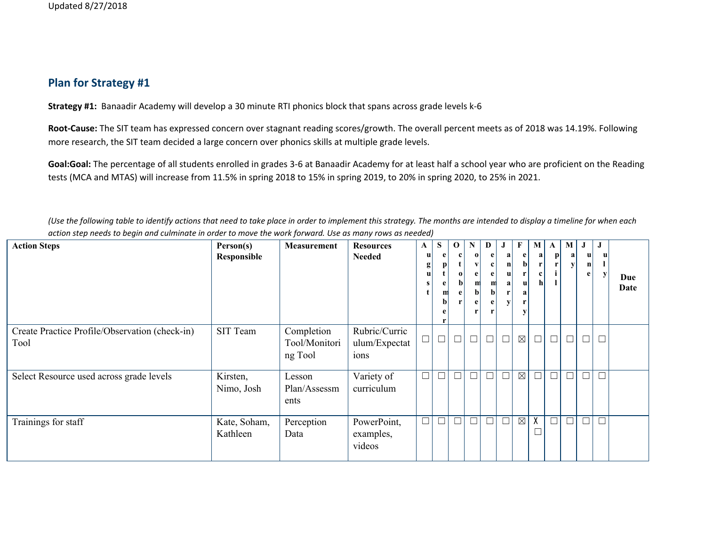## **Plan for Strategy #1**

**Strategy #1:** Banaadir Academy will develop a 30 minute RTI phonics block that spans across grade levels k-6

**Root-Cause:** The SIT team has expressed concern over stagnant reading scores/growth. The overall percent meets as of 2018 was 14.19%. Following more research, the SIT team decided a large concern over phonics skills at multiple grade levels.

**Goal:Goal:** The percentage of all students enrolled in grades 3-6 at Banaadir Academy for at least half a school year who are proficient on the Reading tests (MCA and MTAS) will increase from 11.5% in spring 2018 to 15% in spring 2019, to 20% in spring 2020, to 25% in 2021.

(Use the following table to identify actions that need to take place in order to implement this strategy. The months are intended to display a timeline for when each action step needs to begin and culminate in order to move the work forward. Use as many rows as needed)

| <b>Action Steps</b>                                    | Person(s)<br>Responsible | Measurement                            | <b>Resources</b><br><b>Needed</b>      | $\mathbf{A}$<br>u<br>$g_{\parallel}$<br>u | ${\bf S}$<br>m | $\mathbf 0$<br>$\bf{0}$<br>$\mathbf{b}$<br>e | $\mathbf N$<br>$\mathbf o$<br>m<br>$\mathbf b$ | D<br>e<br>e<br>m<br>$\mathbf{b}$ | a<br>n<br> u <br>a | F<br>e  <br>$\mathbf{b}$<br>r<br> u <br>a<br>y | M<br>a<br>r<br>c<br>$\mathbf{h}$ | $\mathbf{A}$<br>$\mathbf{p}$ | M<br>a | $\bf J$<br>u<br>$\mathbf n$<br>e | J      | Due<br>Date |
|--------------------------------------------------------|--------------------------|----------------------------------------|----------------------------------------|-------------------------------------------|----------------|----------------------------------------------|------------------------------------------------|----------------------------------|--------------------|------------------------------------------------|----------------------------------|------------------------------|--------|----------------------------------|--------|-------------|
| Create Practice Profile/Observation (check-in)<br>Tool | SIT Team                 | Completion<br>Tool/Monitori<br>ng Tool | Rubric/Curric<br>ulum/Expectat<br>ions |                                           | $\Box$         | $\Box$                                       | $\Box$                                         | $\Box$                           | $\Box$             | $\boxtimes$                                    | $\Box$                           | $\Box$                       | $\Box$ | $\Box$                           | $\Box$ |             |
| Select Resource used across grade levels               | Kirsten,<br>Nimo, Josh   | Lesson<br>Plan/Assessm<br>ents         | Variety of<br>curriculum               | $\Box$                                    | $\Box$         | $\Box$                                       | $\Box$                                         | $\Box$                           | $\Box$             | $\boxtimes$                                    | $\Box$                           | $\Box$                       | $\Box$ | $\Box$                           | $\Box$ |             |
| Trainings for staff                                    | Kate, Soham,<br>Kathleen | Perception<br>Data                     | PowerPoint,<br>examples,<br>videos     | $\Box$                                    | $\Box$         | $\Box$                                       | $\Box$                                         | $\Box$                           | $\Box$             | $\boxtimes$                                    | X                                | $\Box$                       |        | $\Box$                           | $\Box$ |             |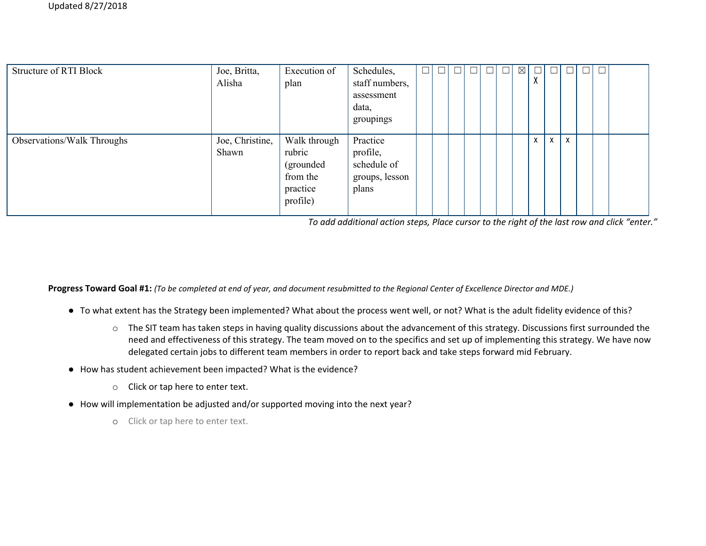| <b>Structure of RTI Block</b> | Joe, Britta,<br>Alisha   | Execution of<br>plan                                                     | Schedules,<br>staff numbers,<br>assessment<br>data,<br>groupings | ப | $\Box$ | ال |  | $\Box$ | $\boxtimes$ | $\mathbf{v}$<br>Λ | $\Box$       |   | $\Box$ |  |
|-------------------------------|--------------------------|--------------------------------------------------------------------------|------------------------------------------------------------------|---|--------|----|--|--------|-------------|-------------------|--------------|---|--------|--|
| Observations/Walk Throughs    | Joe, Christine,<br>Shawn | Walk through<br>rubric<br>(grounded)<br>from the<br>practice<br>profile) | Practice<br>profile,<br>schedule of<br>groups, lesson<br>plans   |   |        |    |  |        |             | X                 | $\mathsf{x}$ | X |        |  |

*To add additional action steps, Place cursor to the right of the last row and click "enter."*

Progress Toward Goal #1: (To be completed at end of year, and document resubmitted to the Regional Center of Excellence Director and MDE.)

- To what extent has the Strategy been implemented? What about the process went well, or not? What is the adult fidelity evidence of this?
	- o The SIT team has taken steps in having quality discussions about the advancement of this strategy. Discussions first surrounded the need and effectiveness of this strategy. The team moved on to the specifics and set up of implementing this strategy. We have now delegated certain jobs to different team members in order to report back and take steps forward mid February.
- How has student achievement been impacted? What is the evidence?
	- o Click or tap here to enter text.
- How will implementation be adjusted and/or supported moving into the next year?
	- o Click or tap here to enter text.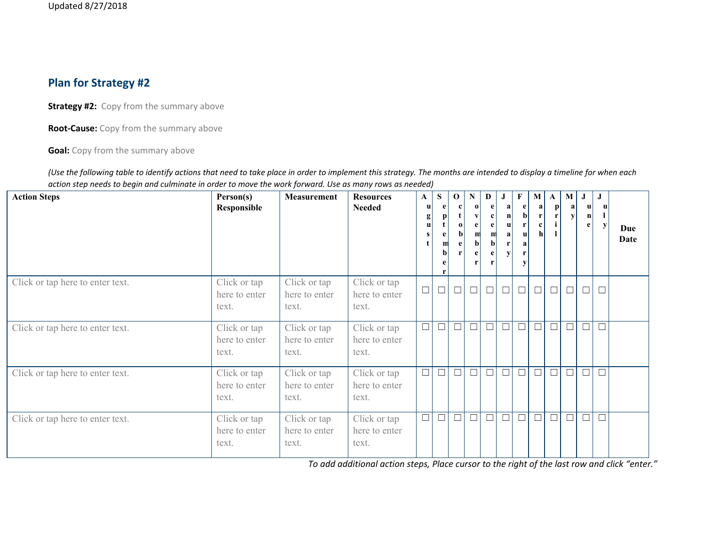## **Plan for Strategy #2**

**Strategy #2:** Copy from the summary above

**Root-Cause:** Copy from the summary above

**Goal:** Copy from the summary above

(Use the following table to identify actions that need to take place in order to implement this strategy. The months are intended to display a timeline for when each action step needs to begin and culminate in order to move the work forward. Use as many rows as needed)

| <b>Action Steps</b>              | Person(s)<br>Responsible               | Measurement                            | <b>Resources</b><br><b>Needed</b>      | $\mathbf{A}$<br> u <br>g<br>u | ${\bf S}$<br>m<br>$\mathbf{b}$ | $\mathbf 0$<br>$\bf{0}$<br>$\mathbf b$<br>e | N<br>$\bf{0}$ | D<br>$\mathbf{e}$<br>e<br>m | J<br>a<br>$\mathbf{n}$<br>u<br>a<br>r<br>$\mathbf{v}$ | $\mathbf{F}$<br>e<br>$\mathbf{b}$<br>r<br> u <br>r<br>V | M<br>a  <br>r<br>c l<br>hl | A<br>$\mathbf{p}$ | ${\bf M}$<br>a<br>y | $\bf J$<br>u<br>$\mathbf{n}$<br>e | J<br>$\mathbf{u}$<br>v | Due<br>Date |
|----------------------------------|----------------------------------------|----------------------------------------|----------------------------------------|-------------------------------|--------------------------------|---------------------------------------------|---------------|-----------------------------|-------------------------------------------------------|---------------------------------------------------------|----------------------------|-------------------|---------------------|-----------------------------------|------------------------|-------------|
| Click or tap here to enter text. | Click or tap<br>here to enter<br>text. | Click or tap<br>here to enter<br>text. | Click or tap<br>here to enter<br>text. | $\Box$                        | $\Box$                         | $\Box$                                      | $\Box$        | $\Box$                      | $\Box$                                                | $\Box$                                                  | $\Box$                     | $\Box$            | $\hfill \square$    | $\Box$                            | $\Box$                 |             |
| Click or tap here to enter text. | Click or tap<br>here to enter<br>text. | Click or tap<br>here to enter<br>text. | Click or tap<br>here to enter<br>text. | $\Box$                        | $\overline{\Box}$              | $\Box$                                      | $\Box$        | $\Box$                      |                                                       | $\hfill \square$                                        | $\Box$                     | $\Box$            | $\overline{\Box}$   | $\Box$                            | $\Box$                 |             |
| Click or tap here to enter text. | Click or tap<br>here to enter<br>text. | Click or tap<br>here to enter<br>text. | Click or tap<br>here to enter<br>text. | $\Box$                        | $\Box$                         | $\Box$                                      | $\Box$        | $\Box$                      |                                                       | $\Box$                                                  | $\Box$                     | $\Box$            | $\Box$              | $\Box$                            | $\Box$                 |             |
| Click or tap here to enter text. | Click or tap<br>here to enter<br>text. | Click or tap<br>here to enter<br>text. | Click or tap<br>here to enter<br>text. | $\Box$                        | $\Box$                         | $\Box$                                      | $\Box$        | $\Box$                      |                                                       | $\Box$                                                  | $\Box$                     | $\Box$            | $\Box$              | ப                                 | $\Box$                 |             |

*To add additional action steps, Place cursor to the right of the last row and click "enter."*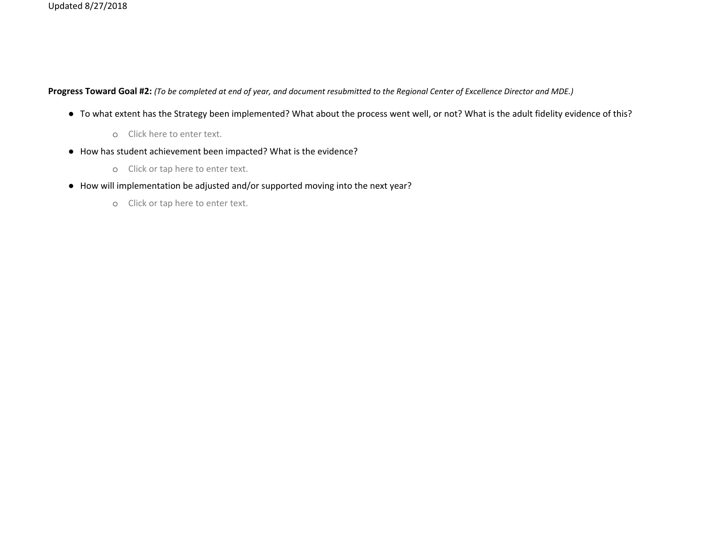Progress Toward Goal #2: (To be completed at end of year, and document resubmitted to the Regional Center of Excellence Director and MDE.)

- To what extent has the Strategy been implemented? What about the process went well, or not? What is the adult fidelity evidence of this?
	- o Click here to enter text.
- How has student achievement been impacted? What is the evidence?
	- o Click or tap here to enter text.
- How will implementation be adjusted and/or supported moving into the next year?
	- o Click or tap here to enter text.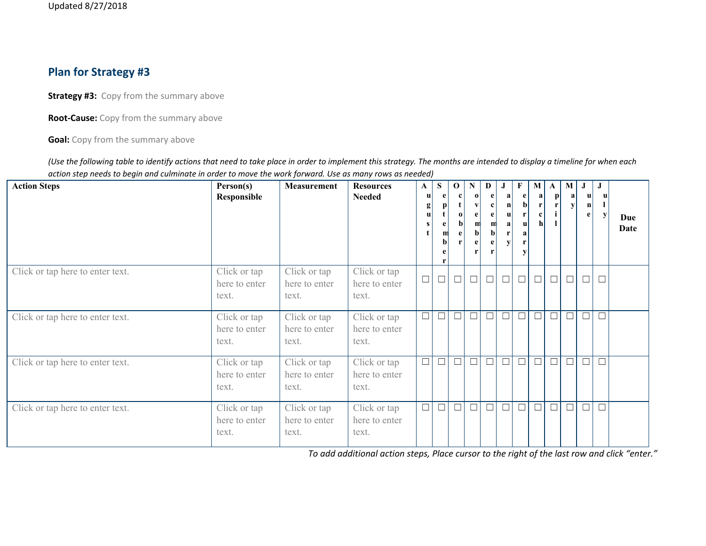### **Plan for Strategy #3**

**Strategy #3:** Copy from the summary above

**Root-Cause:** Copy from the summary above

**Goal:** Copy from the summary above

(Use the following table to identify actions that need to take place in order to implement this strategy. The months are intended to display a timeline for when each action step needs to begin and culminate in order to move the work forward. Use as many rows as needed)

| <b>Action Steps</b>              | Person(s)<br>Responsible               | Measurement                            | <b>Resources</b><br><b>Needed</b>      | $\mathbf{A}$<br>u<br>g<br>u<br>s | S<br>m<br>bl | $\mathbf 0$<br>$\mathbf{0}$ | $\mathbf N$<br>h | D<br>e<br>$\mathbf{c}$<br>e<br>m<br>$\mathbf{b}$<br>e | J<br>a<br>$\mathbf{n}$<br>u<br>a<br>V | F<br>$\mathbf e$<br> b <br>r<br>u<br>a<br>r<br>$\mathbf{v}$ | M<br>a  <br>$\mathbf{r}$<br> c <br>h <sup>1</sup> | A<br>$\mathbf{p}$<br>r | $\bf{M}$<br>a<br>V | $\bf J$<br>u<br>$\mathbf n$<br>e | $\bf J$ | Due<br>Date |
|----------------------------------|----------------------------------------|----------------------------------------|----------------------------------------|----------------------------------|--------------|-----------------------------|------------------|-------------------------------------------------------|---------------------------------------|-------------------------------------------------------------|---------------------------------------------------|------------------------|--------------------|----------------------------------|---------|-------------|
| Click or tap here to enter text. | Click or tap<br>here to enter<br>text. | Click or tap<br>here to enter<br>text. | Click or tap<br>here to enter<br>text. | $\Box$                           | $\Box$       | $\Box$                      | $\Box$           | $\Box$                                                | $\Box$                                | $\Box$                                                      | $\Box$                                            | $\Box$                 | $\Box$             | $\Box$                           | $\Box$  |             |
| Click or tap here to enter text. | Click or tap<br>here to enter<br>text. | Click or tap<br>here to enter<br>text. | Click or tap<br>here to enter<br>text. | $\Box$                           | $\Box$       | $\Box$                      | $\Box$           | $\Box$                                                | Đτ                                    |                                                             | $\Box$                                            | $\Box$                 | $\Box$             | $\Box$                           | $\Box$  |             |
| Click or tap here to enter text. | Click or tap<br>here to enter<br>text. | Click or tap<br>here to enter<br>text. | Click or tap<br>here to enter<br>text. | $\Box$                           | $\Box$       | $\Box$                      | $\Box$           | $\Box$                                                | $\Box$                                | $\Box$                                                      | $\Box$                                            | $\Box$                 | $\Box$             | $\Box$                           |         |             |
| Click or tap here to enter text. | Click or tap<br>here to enter<br>text. | Click or tap<br>here to enter<br>text. | Click or tap<br>here to enter<br>text. | $\Box$                           | $\Box$       | $\Box$                      | $\Box$           | $\Box$                                                | $\Box$                                |                                                             | $\Box$                                            | $\Box$                 | $\Box$             | $\Box$                           | $\Box$  |             |

*To add additional action steps, Place cursor to the right of the last row and click "enter."*